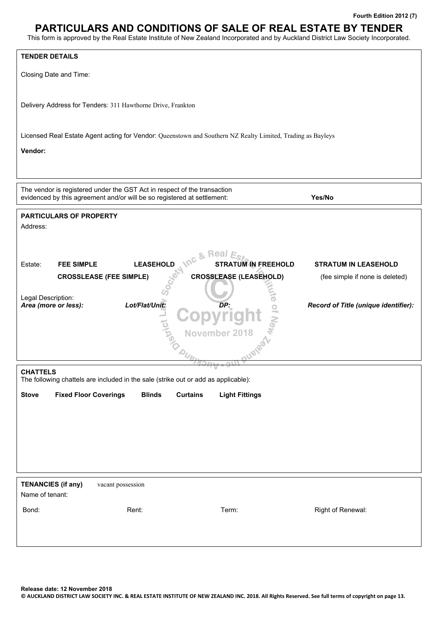# **PARTICULARS AND CONDITIONS OF SALE OF REAL ESTATE BY TENDER**

This form is approved by the Real Estate Institute of New Zealand Incorporated and by Auckland District Law Society Incorporated.

| <b>TENDER DETAILS</b>                        |                                                                                                                                                     |                                                                                                             |                                      |
|----------------------------------------------|-----------------------------------------------------------------------------------------------------------------------------------------------------|-------------------------------------------------------------------------------------------------------------|--------------------------------------|
| Closing Date and Time:                       |                                                                                                                                                     |                                                                                                             |                                      |
|                                              |                                                                                                                                                     |                                                                                                             |                                      |
|                                              | Delivery Address for Tenders: 311 Hawthorne Drive, Frankton                                                                                         |                                                                                                             |                                      |
|                                              |                                                                                                                                                     |                                                                                                             |                                      |
|                                              |                                                                                                                                                     | Licensed Real Estate Agent acting for Vendor: Queenstown and Southern NZ Realty Limited, Trading as Bayleys |                                      |
| Vendor:                                      |                                                                                                                                                     |                                                                                                             |                                      |
|                                              |                                                                                                                                                     |                                                                                                             |                                      |
|                                              | The vendor is registered under the GST Act in respect of the transaction<br>evidenced by this agreement and/or will be so registered at settlement: |                                                                                                             | Yes/No                               |
| <b>PARTICULARS OF PROPERTY</b>               |                                                                                                                                                     |                                                                                                             |                                      |
| Address:                                     |                                                                                                                                                     |                                                                                                             |                                      |
|                                              |                                                                                                                                                     |                                                                                                             |                                      |
| <b>FEE SIMPLE</b><br>Estate:                 | <b>LEASEHOLD</b>                                                                                                                                    | Inc & Real<br>$E_{Sf}$<br><b>STRATUM IN FREEHOLD</b>                                                        | <b>STRATUM IN LEASEHOLD</b>          |
|                                              | <b>CROSSLEASE (FEE SIMPLE)</b>                                                                                                                      | <b>CROSSLEASE (LEASEHOLD)</b>                                                                               | (fee simple if none is deleted)      |
| Legal Description:                           | Lot/Flat/Unit:                                                                                                                                      |                                                                                                             |                                      |
| Area (more or less):                         |                                                                                                                                                     | DP:                                                                                                         | Record of Title (unique identifier): |
|                                              | ing                                                                                                                                                 | November 2018                                                                                               |                                      |
|                                              |                                                                                                                                                     |                                                                                                             |                                      |
|                                              |                                                                                                                                                     |                                                                                                             |                                      |
| <b>CHATTELS</b>                              | The following chattels are included in the sale (strike out or add as applicable):                                                                  |                                                                                                             |                                      |
| <b>Fixed Floor Coverings</b><br><b>Stove</b> | <b>Blinds</b>                                                                                                                                       | <b>Curtains</b><br><b>Light Fittings</b>                                                                    |                                      |
|                                              |                                                                                                                                                     |                                                                                                             |                                      |
|                                              |                                                                                                                                                     |                                                                                                             |                                      |
|                                              |                                                                                                                                                     |                                                                                                             |                                      |
|                                              |                                                                                                                                                     |                                                                                                             |                                      |
| <b>TENANCIES (if any)</b>                    | vacant possession                                                                                                                                   |                                                                                                             |                                      |
| Name of tenant:                              |                                                                                                                                                     |                                                                                                             |                                      |
| Bond:                                        | Rent:                                                                                                                                               | Term:                                                                                                       | Right of Renewal:                    |
|                                              |                                                                                                                                                     |                                                                                                             |                                      |
|                                              |                                                                                                                                                     |                                                                                                             |                                      |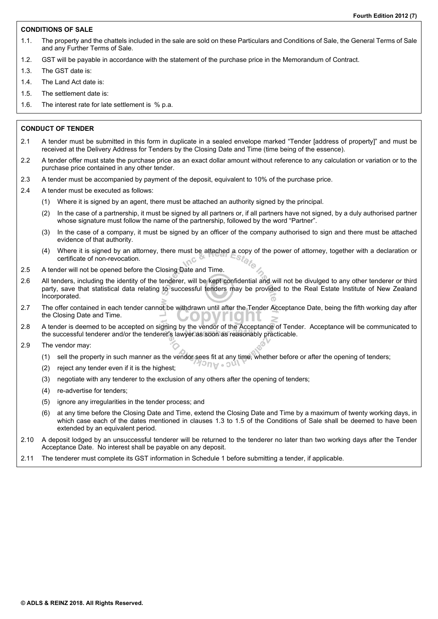## **CONDITIONS OF SALE**

- 1.1. The property and the chattels included in the sale are sold on these Particulars and Conditions of Sale, the General Terms of Sale and any Further Terms of Sale.
- 1.2. GST will be payable in accordance with the statement of the purchase price in the Memorandum of Contract.
- 1.3. The GST date is:
- 1.4. The Land Act date is:
- 1.5. The settlement date is:
- 1.6. The interest rate for late settlement is % p.a.

## **CONDUCT OF TENDER**

- 2.1 A tender must be submitted in this form in duplicate in a sealed envelope marked "Tender [address of property]" and must be received at the Delivery Address for Tenders by the Closing Date and Time (time being of the essence).
- 2.2 A tender offer must state the purchase price as an exact dollar amount without reference to any calculation or variation or to the purchase price contained in any other tender.
- 2.3 A tender must be accompanied by payment of the deposit, equivalent to 10% of the purchase price.
- 2.4 A tender must be executed as follows:
	- (1) Where it is signed by an agent, there must be attached an authority signed by the principal.
		- (2) In the case of a partnership, it must be signed by all partners or, if all partners have not signed, by a duly authorised partner whose signature must follow the name of the partnership, followed by the word "Partner".
		- (3) In the case of a company, it must be signed by an officer of the company authorised to sign and there must be attached evidence of that authority.
		- (4) Where it is signed by an attorney, there must be attached a copy of the power of attorney, together with a declaration or certificate of non-revocation.  $\Lambda$ C
- 2.5 A tender will not be opened before the Closing Date and Time.
- 2.6 All tenders, including the identity of the tenderer, will be kept confidential and will not be divulged to any other tenderer or third party, save that statistical data relating to successful tenders may be provided to the Real Estate Institute of New Zealand Incorporated.
- 2.7 The offer contained in each tender cannot be withdrawn until after the Tender Acceptance Date, being the fifth working day after the Closing Date and Time.
- 2.8 A tender is deemed to be accepted on signing by the vendor of the Acceptance of Tender. Acceptance will be communicated to the successful tenderer and/or the tenderer's lawyer as soon as reasonably practicable.
- 2.9 The vendor may:
	- (1) sell the property in such manner as the vendor sees fit at any time, whether before or after the opening of tenders; **NOU PUCK**
	- (2) reject any tender even if it is the highest;
	- (3) negotiate with any tenderer to the exclusion of any others after the opening of tenders;
	- (4) re-advertise for tenders;
	- (5) ignore any irregularities in the tender process; and
	- (6) at any time before the Closing Date and Time, extend the Closing Date and Time by a maximum of twenty working days, in which case each of the dates mentioned in clauses 1.3 to 1.5 of the Conditions of Sale shall be deemed to have been extended by an equivalent period.
- 2.10 A deposit lodged by an unsuccessful tenderer will be returned to the tenderer no later than two working days after the Tender Acceptance Date. No interest shall be payable on any deposit.
- 2.11 The tenderer must complete its GST information in Schedule 1 before submitting a tender, if applicable.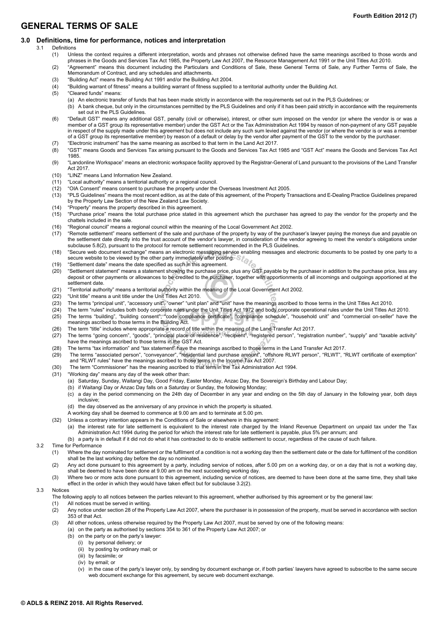# **GENERAL TERMS OF SALE**

#### **3.0 Definitions, time for performance, notices and interpretation**

- 3.1 Definitions
	- (1) Unless the context requires a different interpretation, words and phrases not otherwise defined have the same meanings ascribed to those words and phrases in the Goods and Services Tax Act 1985, the Property Law Act 2007, the Resource Management Act 1991 or the Unit Titles Act 2010.
	- (2) "Agreement" means this document including the Particulars and Conditions of Sale, these General Terms of Sale, any Further Terms of Sale, the Memorandum of Contract, and any schedules and attachments.
	- (3) "Building Act" means the Building Act 1991 and/or the Building Act 2004.
	- (4) "Building warrant of fitness" means a building warrant of fitness supplied to a territorial authority under the Building Act.<br>(5) "Cleared funds" means:
	- (5) "Cleared funds" means:
		- (a) An electronic transfer of funds that has been made strictly in accordance with the requirements set out in the PLS Guidelines; or
			- (b) A bank cheque, but only in the circumstances permitted by the PLS Guidelines and only if it has been paid strictly in accordance with the requirements set out in the PLS Guidelines.
	- (6) "Default GST" means any additional GST, penalty (civil or otherwise), interest, or other sum imposed on the vendor (or where the vendor is or was a member of a GST group its representative member) under the GST Act or the Tax Administration Act 1994 by reason of non-payment of any GST payable in respect of the supply made under this agreement but does not include any such sum levied against the vendor (or where the vendor is or was a member of a GST group its representative member) by reason of a default or delay by the vendor after payment of the GST to the vendor by the purchaser.
	- (7) "Electronic instrument" has the same meaning as ascribed to that term in the Land Act 2017.
	- (8) "GST" means Goods and Services Tax arising pursuant to the Goods and Services Tax Act 1985 and "GST Act" means the Goods and Services Tax Act 1985.
	- (9) "Landonline Workspace" means an electronic workspace facility approved by the Registrar-General of Land pursuant to the provisions of the Land Transfer Act 2017.
	- (10) "LINZ" means Land Information New Zealand.
	- (11) "Local authority" means a territorial authority or a regional council.
	- (12) "OIA Consent" means consent to purchase the property under the Overseas Investment Act 2005.
	- (13) "PLS Guidelines" means the most recent edition, as at the date of this agreement, of the Property Transactions and E-Dealing Practice Guidelines prepared by the Property Law Section of the New Zealand Law Society.
	- (14) "Property" means the property described in this agreement.
	- (15) "Purchase price" means the total purchase price stated in this agreement which the purchaser has agreed to pay the vendor for the property and the chattels included in the sale.
	- (16) "Regional council" means a regional council within the meaning of the Local Government Act 2002.
	- (17) "Remote settlement" means settlement of the sale and purchase of the property by way of the purchaser's lawyer paying the moneys due and payable on the settlement date directly into the trust account of the vendor's lawyer, in consideration of the vendor agreeing to meet the vendor's obligations under subclause 5.8(2), pursuant to the protocol for remote settlement recommended in the PLS Guidelines.
	- (18) "Secure web document exchange" means an electronic messaging service enabling messages and electronic documents to be posted by one party to a secure website to be viewed by the other party immediately after posting. ເຈ,
	- (19) "Settlement date" means the date specified as such in this agreement.
	- (20) "Settlement statement" means a statement showing the purchase price, plus any GST payable by the purchaser in addition to the purchase price, less any deposit or other payments or allowances to be credited to the purchaser, together with apportionments of all incomings and outgoings apportioned at the settlement date.
	- (21) "Territorial authority" means a territorial authority within the meaning of the Local Government Act 2002.
	- (22) "Unit title" means a unit title under the Unit Titles Act 2010.<br>(23) The terms "principal unit". "accessory unit". "owner" "unit pl
	-
	- (23) The terms "principal unit", "accessory unit", "owner" "unit plan" and "unit" have the meanings ascribed to those terms in the Unit Titles Act 2010.<br>(24) The term "rules" includes both body corporate rules under the Un The term "rules" includes both body corporate rules under the Unit Titles Act 1972 and body corporate operational rules under the Unit Titles Act 2010.
	- (25) The terms "building", "building consent", "code compliance certificate", "compliance schedule", "household unit" and "commercial on-seller" have the meanings ascribed to those terms in the Building Act.
	- (26) The term "title" includes where appropriate a record of title within the meaning of the Land Transfer Act 2017.
	- (27) The terms "going concern", "goods", "principal place of residence", "recipient", "registered person", "registration number", "supply" and "taxable activity" have the meanings ascribed to those terms in the GST Act.
	- (28) The terms "tax information" and "tax statement" have the meanings ascribed to those terms in the Land Transfer Act 2017.
	- (29) The terms "associated person", "conveyancer", "residential land purchase amount", "offshore RLWT person", "RLWT", "RLWT certificate of exemption" and "RLWT rules" have the meanings ascribed to those terms in the Income Tax Act 2007.
	- (30) The term "Commissioner" has the meaning ascribed to that term in the Tax Administration Act 1994.
	- (31) "Working day" means any day of the week other than:
		- (a) Saturday, Sunday, Waitangi Day, Good Friday, Easter Monday, Anzac Day, the Sovereign's Birthday and Labour Day;
		- (b) if Waitangi Day or Anzac Day falls on a Saturday or Sunday, the following Monday;
		- (c) a day in the period commencing on the 24th day of December in any year and ending on the 5th day of January in the following year, both days inclusive;
		- (d) the day observed as the anniversary of any province in which the property is situated.
		- A working day shall be deemed to commence at 9.00 am and to terminate at 5.00 pm.
	- (32) Unless a contrary intention appears in the Conditions of Sale or elsewhere in this agreement:
		- (a) the interest rate for late settlement is equivalent to the interest rate charged by the Inland Revenue Department on unpaid tax under the Tax Administration Act 1994 during the period for which the interest rate for late settlement is payable, plus 5% per annum; and
		- (b) a party is in default if it did not do what it has contracted to do to enable settlement to occur, regardless of the cause of such failure.
- 3.2 Time for Performance
	- (1) Where the day nominated for settlement or the fulfilment of a condition is not a working day then the settlement date or the date for fulfilment of the condition shall be the last working day before the day so nominated.
	- (2) Any act done pursuant to this agreement by a party, including service of notices, after 5.00 pm on a working day, or on a day that is not a working day, shall be deemed to have been done at 9.00 am on the next succeeding working day.
	- (3) Where two or more acts done pursuant to this agreement, including service of notices, are deemed to have been done at the same time, they shall take effect in the order in which they would have taken effect but for subclause 3.2(2).

#### 3.3 Notices

- The following apply to all notices between the parties relevant to this agreement, whether authorised by this agreement or by the general law:
- (1) All notices must be served in writing.
- (2) Any notice under section 28 of the Property Law Act 2007, where the purchaser is in possession of the property, must be served in accordance with section 353 of that Act.
- (3) All other notices, unless otherwise required by the Property Law Act 2007, must be served by one of the following means:
	- (a) on the party as authorised by sections 354 to 361 of the Property Law Act 2007; or
		- (b) on the party or on the party's lawyer:
			- (i) by personal delivery; or
			- (ii) by posting by ordinary mail; or
			- (iii) by facsimile; or
			- (iv) by email; or
			- (v) in the case of the party's lawyer only, by sending by document exchange or, if both parties' lawyers have agreed to subscribe to the same secure web document exchange for this agreement, by secure web document exchange.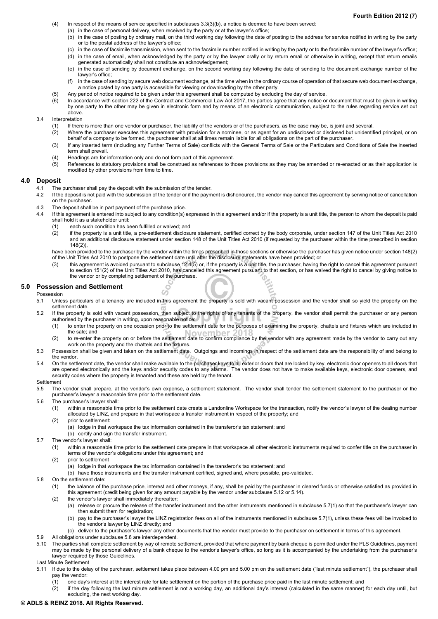- (4) In respect of the means of service specified in subclauses 3.3(3)(b), a notice is deemed to have been served:
	- (a) in the case of personal delivery, when received by the party or at the lawyer's office;
	- (b) in the case of posting by ordinary mail, on the third working day following the date of posting to the address for service notified in writing by the party or to the postal address of the lawyer's office;
	- (c) in the case of facsimile transmission, when sent to the facsimile number notified in writing by the party or to the facsimile number of the lawyer's office; (d) in the case of email, when acknowledged by the party or by the lawyer orally or by return email or otherwise in writing, except that return emails
	- generated automatically shall not constitute an acknowledgement; (e) in the case of sending by document exchange, on the second working day following the date of sending to the document exchange number of the
	- lawyer's office;
	- (f) in the case of sending by secure web document exchange, at the time when in the ordinary course of operation of that secure web document exchange, a notice posted by one party is accessible for viewing or downloading by the other party.
- (5) Any period of notice required to be given under this agreement shall be computed by excluding the day of service.
- (6) In accordance with section 222 of the Contract and Commercial Law Act 2017, the parties agree that any notice or document that must be given in writing by one party to the other may be given in electronic form and by means of an electronic communication, subject to the rules regarding service set out above.
- 3.4 Interpretation
	- (1) If there is more than one vendor or purchaser, the liability of the vendors or of the purchasers, as the case may be, is joint and several.
	- (2) Where the purchaser executes this agreement with provision for a nominee, or as agent for an undisclosed or disclosed but unidentified principal, or on behalf of a company to be formed, the purchaser shall at all times remain liable for all obligations on the part of the purchaser.
	- (3) If any inserted term (including any Further Terms of Sale) conflicts with the General Terms of Sale or the Particulars and Conditions of Sale the inserted term shall prevail.
	- (4) Headings are for information only and do not form part of this agreement.
	- (5) References to statutory provisions shall be construed as references to those provisions as they may be amended or re-enacted or as their application is modified by other provisions from time to time.

## **4.0 Deposit**

- 4.1 The purchaser shall pay the deposit with the submission of the tender.
- 4.2 If the deposit is not paid with the submission of the tender or if the payment is dishonoured, the vendor may cancel this agreement by serving notice of cancellation on the purchaser.
- 4.3 The deposit shall be in part payment of the purchase price.
- 4.4 If this agreement is entered into subject to any condition(s) expressed in this agreement and/or if the property is a unit title, the person to whom the deposit is paid shall hold it as a stakeholder until:
	- (1) each such condition has been fulfilled or waived; and
	- (2) if the property is a unit title, a pre-settlement disclosure statement, certified correct by the body corporate, under section 147 of the Unit Titles Act 2010 and an additional disclosure statement under section 148 of the Unit Titles Act 2010 (if requested by the purchaser within the time prescribed in section 148(2)),

have been provided to the purchaser by the vendor within the times prescribed in those sections or otherwise the purchaser has given notice under section 148(2) of the Unit Titles Act 2010 to postpone the settlement date until after the disclosure statements have been provided; or

(3) this agreement is avoided pursuant to subclause 12.4(5) or, if the property is a unit title, the purchaser, having the right to cancel this agreement pursuant to section 151(2) of the Unit Titles Act 2010, has cancelled this agreement pursuant to that section, or has waived the right to cancel by giving notice to the vendor or by completing settlement of the purchase. ć٢

#### **5.0 Possession and Settlement**

#### Possession

- 5.1 Unless particulars of a tenancy are included in this agreement the property is sold with vacant possession and the vendor shall so yield the property on the settlement date.
- 5.2 If the property is sold with vacant possession, then subject to the rights of any tenants of the property, the vendor shall permit the purchaser or any person authorised by the purchaser in writing, upon reasonable notice:
	- (1) to enter the property on one occasion prior to the settlement date for the purposes of examining the property, chattels and fixtures which are included in the sale; and
	- (2) to re-enter the property on or before the settlement date to confirm compliance by the vendor with any agreement made by the vendor to carry out any work on the property and the chattels and the fixtures.
- 5.3 Possession shall be given and taken on the settlement date. Outgoings and incomings in respect of the settlement date are the responsibility of and belong to the vendor.
- 5.4 On the settlement date, the vendor shall make available to the purchaser keys to all exterior doors that are locked by key, electronic door openers to all doors that are opened electronically and the keys and/or security codes to any alarms. The vendor does not have to make available keys, electronic door openers, and security codes where the property is tenanted and these are held by the tenant.

#### **Settlement**

- 5.5 The vendor shall prepare, at the vendor's own expense, a settlement statement. The vendor shall tender the settlement statement to the purchaser or the purchaser's lawyer a reasonable time prior to the settlement date.
- 5.6 The purchaser's lawyer shall:
	- (1) within a reasonable time prior to the settlement date create a Landonline Workspace for the transaction, notify the vendor's lawyer of the dealing number allocated by LINZ, and prepare in that workspace a transfer instrument in respect of the property; and
	- (2) prior to settlement:
		- (a) lodge in that workspace the tax information contained in the transferor's tax statement; and

 $\mathcal{C}$ 

- (b) certify and sign the transfer instrument.
- 5.7 The vendor's lawyer shall:
	- (1) within a reasonable time prior to the settlement date prepare in that workspace all other electronic instruments required to confer title on the purchaser in terms of the vendor's obligations under this agreement; and
	- (2) prior to settlement
		- (a) lodge in that workspace the tax information contained in the transferor's tax statement; and
		- (b) have those instruments and the transfer instrument certified, signed and, where possible, pre-validated.
- 5.8 On the settlement date:
	- (1) the balance of the purchase price, interest and other moneys, if any, shall be paid by the purchaser in cleared funds or otherwise satisfied as provided in this agreement (credit being given for any amount payable by the vendor under subclause 5.12 or 5.14).
	- (2) the vendor's lawyer shall immediately thereafter:
		- (a) release or procure the release of the transfer instrument and the other instruments mentioned in subclause 5.7(1) so that the purchaser's lawyer can then submit them for registration;
		- (b) pay to the purchaser's lawyer the LINZ registration fees on all of the instruments mentioned in subclause 5.7(1), unless these fees will be invoiced to the vendor's lawyer by LINZ directly; and
		- (c) deliver to the purchaser's lawyer any other documents that the vendor must provide to the purchaser on settlement in terms of this agreement.
- 5.9 All obligations under subclause 5.8 are interdependent.
- 5.10 The parties shall complete settlement by way of remote settlement, provided that where payment by bank cheque is permitted under the PLS Guidelines, payment may be made by the personal delivery of a bank cheque to the vendor's lawyer's office, so long as it is accompanied by the undertaking from the purchaser's lawyer required by those Guidelines.

Last Minute Settlement

- 5.11 If due to the delay of the purchaser, settlement takes place between 4.00 pm and 5.00 pm on the settlement date ("last minute settlement"), the purchaser shall pay the vendor:
	- (1) one day's interest at the interest rate for late settlement on the portion of the purchase price paid in the last minute settlement; and
- (2) if the day following the last minute settlement is not a working day, an additional day's interest (calculated in the same manner) for each day until, but excluding, the next working day.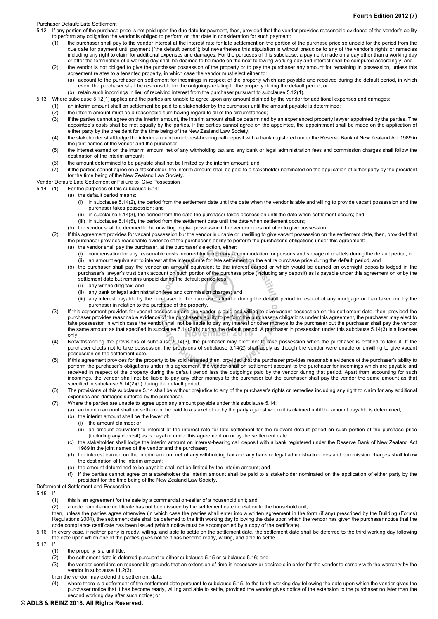#### Purchaser Default: Late Settlement

- 5.12 If any portion of the purchase price is not paid upon the due date for payment, then, provided that the vendor provides reasonable evidence of the vendor's ability to perform any obligation the vendor is obliged to perform on that date in consideration for such payment:
	- (1) the purchaser shall pay to the vendor interest at the interest rate for late settlement on the portion of the purchase price so unpaid for the period from the due date for payment until payment ("the default period"); but nevertheless this stipulation is without prejudice to any of the vendor's rights or remedies including any right to claim for additional expenses and damages. For the purposes of this subclause, a payment made on a day other than a working day or after the termination of a working day shall be deemed to be made on the next following working day and interest shall be computed accordingly; and
	- (2) the vendor is not obliged to give the purchaser possession of the property or to pay the purchaser any amount for remaining in possession, unless this agreement relates to a tenanted property, in which case the vendor must elect either to:
		- (a) account to the purchaser on settlement for incomings in respect of the property which are payable and received during the default period, in which event the purchaser shall be responsible for the outgoings relating to the property during the default period; or
		- (b) retain such incomings in lieu of receiving interest from the purchaser pursuant to subclause 5.12(1).
- 5.13 Where subclause 5.12(1) applies and the parties are unable to agree upon any amount claimed by the vendor for additional expenses and damages:
	- (1) an interim amount shall on settlement be paid to a stakeholder by the purchaser until the amount payable is determined;
	- (2) the interim amount must be a reasonable sum having regard to all of the circumstances;
	- (3) if the parties cannot agree on the interim amount, the interim amount shall be determined by an experienced property lawyer appointed by the parties. The appointee's costs shall be met equally by the parties. If the parties cannot agree on the appointee, the appointment shall be made on the application of either party by the president for the time being of the New Zealand Law Society;
	- (4) the stakeholder shall lodge the interim amount on interest-bearing call deposit with a bank registered under the Reserve Bank of New Zealand Act 1989 in the joint names of the vendor and the purchaser;
	- (5) the interest earned on the interim amount net of any withholding tax and any bank or legal administration fees and commission charges shall follow the destination of the interim amount;
	- (6) the amount determined to be payable shall not be limited by the interim amount; and
	- (7) if the parties cannot agree on a stakeholder, the interim amount shall be paid to a stakeholder nominated on the application of either party by the president for the time being of the New Zealand Law Society.

#### Vendor Default: Late Settlement or Failure to Give Possession

5.14 (1) For the purposes of this subclause 5.14:

- (a) the default period means:
	- (i) in subclause 5.14(2), the period from the settlement date until the date when the vendor is able and willing to provide vacant possession and the purchaser takes possession; and
	- (ii) in subclause 5.14(3), the period from the date the purchaser takes possession until the date when settlement occurs; and
	- (iii) in subclause 5.14(5), the period from the settlement date until the date when settlement occurs;
- (b) the vendor shall be deemed to be unwilling to give possession if the vendor does not offer to give possession.
- (2) If this agreement provides for vacant possession but the vendor is unable or unwilling to give vacant possession on the settlement date, then, provided that the purchaser provides reasonable evidence of the purchaser's ability to perform the purchaser's obligations under this agreement:
	- (a) the vendor shall pay the purchaser, at the purchaser's election, either:
		- (i) compensation for any reasonable costs incurred for temporary accommodation for persons and storage of chattels during the default period; or (ii) an amount equivalent to interest at the interest rate for late settlement on the entire purchase price during the default period; and
	- (b) the purchaser shall pay the vendor an amount equivalent to the interest earned or which would be earned on overnight deposits lodged in the purchaser's lawyer's trust bank account on such portion of the purchase price (including any deposit) as is payable under this agreement on or by the settlement date but remains unpaid during the default period less:
		- (i) any withholding tax; and
		- (ii) any bank or legal administration fees and commission charges; and
		- (iii) any interest payable by the purchaser to the purchaser's lender during the default period in respect of any mortgage or loan taken out by the purchaser in relation to the purchase of the property.
- (3) If this agreement provides for vacant possession and the vendor is able and willing to give vacant possession on the settlement date, then, provided the purchaser provides reasonable evidence of the purchaser's ability to perform the purchaser's obligations under this agreement, the purchaser may elect to take possession in which case the vendor shall not be liable to pay any interest or other moneys to the purchaser but the purchaser shall pay the vendor the same amount as that specified in subclause 5.14(2)(b) during the default period. A purchaser in possession under this subclause 5.14(3) is a licensee only.
- (4) Notwithstanding the provisions of subclause 5.14(3), the purchaser may elect not to take possession when the purchaser is entitled to take it. If the purchaser elects not to take possession, the provisions of subclause 5.14(2) shall apply as though the vendor were unable or unwilling to give vacant possession on the settlement date.
- (5) If this agreement provides for the property to be sold tenanted then, provided that the purchaser provides reasonable evidence of the purchaser's ability to perform the purchaser's obligations under this agreement, the vendor shall on settlement account to the purchaser for incomings which are payable and received in respect of the property during the default period less the outgoings paid by the vendor during that period. Apart from accounting for such incomings, the vendor shall not be liable to pay any other moneys to the purchaser but the purchaser shall pay the vendor the same amount as that specified in subclause 5.14(2)(b) during the default period.
- (6) The provisions of this subclause 5.14 shall be without prejudice to any of the purchaser's rights or remedies including any right to claim for any additional expenses and damages suffered by the purchaser.
- (7) Where the parties are unable to agree upon any amount payable under this subclause 5.14:
	- (a) an interim amount shall on settlement be paid to a stakeholder by the party against whom it is claimed until the amount payable is determined;
	- (b) the interim amount shall be the lower of:
		- (i) the amount claimed; or
		- (ii) an amount equivalent to interest at the interest rate for late settlement for the relevant default period on such portion of the purchase price (including any deposit) as is payable under this agreement on or by the settlement date.
	- (c) the stakeholder shall lodge the interim amount on interest-bearing call deposit with a bank registered under the Reserve Bank of New Zealand Act 1989 in the joint names of the vendor and the purchaser;
	- (d) the interest earned on the interim amount net of any withholding tax and any bank or legal administration fees and commission charges shall follow the destination of the interim amount;
	- (e) the amount determined to be payable shall not be limited by the interim amount; and
	- (f) if the parties cannot agree on a stakeholder the interim amount shall be paid to a stakeholder nominated on the application of either party by the president for the time being of the New Zealand Law Society.

#### Deferment of Settlement and Possession

- 5.15 If
	- (1) this is an agreement for the sale by a commercial on-seller of a household unit; and
	- (2) a code compliance certificate has not been issued by the settlement date in relation to the household unit,

then, unless the parties agree otherwise (in which case the parties shall enter into a written agreement in the form (if any) prescribed by the Building (Forms) Regulations 2004), the settlement date shall be deferred to the fifth working day following the date upon which the vendor has given the purchaser notice that the code compliance certificate has been issued (which notice must be accompanied by a copy of the certificate).

- 5.16 In every case, if neither party is ready, willing, and able to settle on the settlement date, the settlement date shall be deferred to the third working day following the date upon which one of the parties gives notice it has become ready, willing, and able to settle.
- 5.17 If
	- (1) the property is a unit title;
	- (2) the settlement date is deferred pursuant to either subclause 5.15 or subclause 5.16; and
	- (3) the vendor considers on reasonable grounds that an extension of time is necessary or desirable in order for the vendor to comply with the warranty by the vendor in subclause 11.2(3),
		- then the vendor may extend the settlement date:
		- (4) where there is a deferment of the settlement date pursuant to subclause 5.15, to the tenth working day following the date upon which the vendor gives the purchaser notice that it has become ready, willing and able to settle, provided the vendor gives notice of the extension to the purchaser no later than the second working day after such notice; or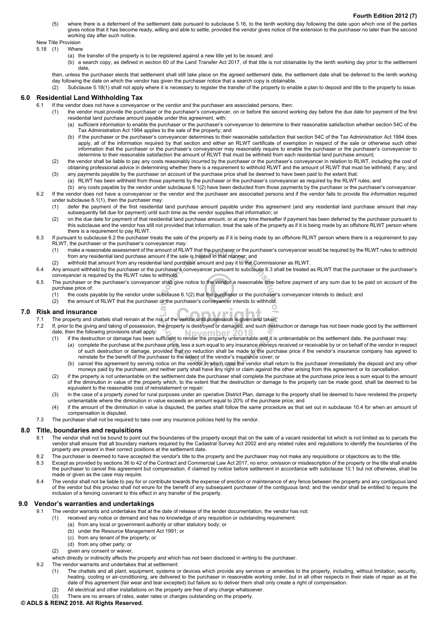(5) where there is a deferment of the settlement date pursuant to subclause 5.16, to the tenth working day following the date upon which one of the parties gives notice that it has become ready, willing and able to settle, provided the vendor gives notice of the extension to the purchaser no later than the second working day after such notice.

New Title Provision

- 5.18 (1) Where
	- (a) the transfer of the property is to be registered against a new title yet to be issued; and
	- (b) a search copy, as defined in section 60 of the Land Transfer Act 2017, of that title is not obtainable by the tenth working day prior to the settlement date,

then, unless the purchaser elects that settlement shall still take place on the agreed settlement date, the settlement date shall be deferred to the tenth working day following the date on which the vendor has given the purchaser notice that a search copy is obtainable.

(2) Subclause 5.18(1) shall not apply where it is necessary to register the transfer of the property to enable a plan to deposit and title to the property to issue.

#### **6.0 Residential Land Withholding Tax**

- If the vendor does not have a conveyancer or the vendor and the purchaser are associated persons, then:
	- (1) the vendor must provide the purchaser or the purchaser's conveyancer, on or before the second working day before the due date for payment of the first residential land purchase amount payable under this agreement, with:
		- (a) sufficient information to enable the purchaser or the purchaser's conveyancer to determine to their reasonable satisfaction whether section 54C of the Tax Administration Act 1994 applies to the sale of the property; and
		- (b) if the purchaser or the purchaser's conveyancer determines to their reasonable satisfaction that section 54C of the Tax Administration Act 1994 does apply, all of the information required by that section and either an RLWT certificate of exemption in respect of the sale or otherwise such other information that the purchaser or the purchaser's conveyancer may reasonably require to enable the purchaser or the purchaser's conveyancer to determine to their reasonable satisfaction the amount of RLWT that must be withheld from each residential land purchase amount;
	- (2) the vendor shall be liable to pay any costs reasonably incurred by the purchaser or the purchaser's conveyancer in relation to RLWT, including the cost of obtaining professional advice in determining whether there is a requirement to withhold RLWT and the amount of RLWT that must be withheld, if any; and
	- (3) any payments payable by the purchaser on account of the purchase price shall be deemed to have been paid to the extent that:
		- (a) RLWT has been withheld from those payments by the purchaser or the purchaser's conveyancer as required by the RLWT rules; and
- (b) any costs payable by the vendor under subclause 6.1(2) have been deducted from those payments by the purchaser or the purchaser's conveyancer. 6.2 If the vendor does not have a conveyancer or the vendor and the purchaser are associated persons and if the vendor fails to provide the information required under subclause 6.1(1), then the purchaser may:
	- (1) defer the payment of the first residential land purchase amount payable under this agreement (and any residential land purchase amount that may subsequently fall due for payment) until such time as the vendor supplies that information; or
	- (2) on the due date for payment of that residential land purchase amount, or at any time thereafter if payment has been deferred by the purchaser pursuant to this subclause and the vendor has still not provided that information, treat the sale of the property as if it is being made by an offshore RLWT person where there is a requirement to pay RLWT.
- 6.3 If pursuant to subclause 6.2 the purchaser treats the sale of the property as if it is being made by an offshore RLWT person where there is a requirement to pay RLWT, the purchaser or the purchaser's conveyancer may:
	- (1) make a reasonable assessment of the amount of RLWT that the purchaser or the purchaser's conveyancer would be required by the RLWT rules to withhold from any residential land purchase amount if the sale is treated in that manner; and
	- (2) withhold that amount from any residential land purchase amount and pay it to the Commissioner as RLWT.
- 6.4 Any amount withheld by the purchaser or the purchaser's conveyancer pursuant to subclause 6.3 shall be treated as RLWT that the purchaser or the purchaser's conveyancer is required by the RLWT rules to withhold.
- 6.5 The purchaser or the purchaser's conveyancer shall give notice to the vendor a reasonable time before payment of any sum due to be paid on account of the purchase price of:
	- (1) the costs payable by the vendor under subclause 6.1(2) that the purchaser or the purchaser's conveyancer intends to deduct; and
	- (2) the amount of RLWT that the purchaser or the purchaser's conveyancer intends to withhold.  $\sqrt{2}$

#### **7.0 Risk and insurance**

- The property and chattels shall remain at the risk of the vendor until possession is given and taken.
- 7.2 If, prior to the giving and taking of possession, the property is destroyed or damaged, and such destruction or damage has not been made good by the settlement date, then the following provisions shall apply:
	- (1) if the destruction or damage has been sufficient to render the property untenantable and it is untenantable on the settlement date, the purchaser may:
		- (a) complete the purchase at the purchase price, less a sum equal to any insurance moneys received or receivable by or on behalf of the vendor in respect of such destruction or damage, provided that no reduction shall be made to the purchase price if the vendor's insurance company has agreed to reinstate for the benefit of the purchaser to the extent of the vendor's insurance cover; or
		- (b) cancel this agreement by serving notice on the vendor in which case the vendor shall return to the purchaser immediately the deposit and any other moneys paid by the purchaser, and neither party shall have any right or claim against the other arising from this agreement or its cancellation.
	- (2) if the property is not untenantable on the settlement date the purchaser shall complete the purchase at the purchase price less a sum equal to the amount of the diminution in value of the property which, to the extent that the destruction or damage to the property can be made good, shall be deemed to be equivalent to the reasonable cost of reinstatement or repair;
	- (3) in the case of a property zoned for rural purposes under an operative District Plan, damage to the property shall be deemed to have rendered the property untenantable where the diminution in value exceeds an amount equal to 20% of the purchase price; and
	- (4) if the amount of the diminution in value is disputed, the parties shall follow the same procedure as that set out in subclause 10.4 for when an amount of compensation is disputed.
- 7.3 The purchaser shall not be required to take over any insurance policies held by the vendor.

#### **8.0 Title, boundaries and requisitions**

- 8.1 The vendor shall not be bound to point out the boundaries of the property except that on the sale of a vacant residential lot which is not limited as to parcels the vendor shall ensure that all boundary markers required by the Cadastral Survey Act 2002 and any related rules and regulations to identify the boundaries of the property are present in their correct positions at the settlement date.
- 8.2 The purchaser is deemed to have accepted the vendor's title to the property and the purchaser may not make any requisitions or objections as to the title.
- 8.3 Except as provided by sections 36 to 42 of the Contract and Commercial Law Act 2017, no error, omission or misdescription of the property or the title shall enable the purchaser to cancel this agreement but compensation, if claimed by notice before settlement in accordance with subclause 10.1 but not otherwise, shall be made or given as the case may require.
- 8.4 The vendor shall not be liable to pay for or contribute towards the expense of erection or maintenance of any fence between the property and any contiguous land of the vendor but this proviso shall not enure for the benefit of any subsequent purchaser of the contiguous land; and the vendor shall be entitled to require the inclusion of a fencing covenant to this effect in any transfer of the property.

#### **9.0 Vendor's warranties and undertakings**

- 9.1 The vendor warrants and undertakes that at the date of release of the tender documentation, the vendor has not:
	- (1) received any notice or demand and has no knowledge of any requisition or outstanding requirement:
		- (a) from any local or government authority or other statutory body; or
		- (b) under the Resource Management Act 1991; or
		- (c) from any tenant of the property; or
		- (d) from any other party; or
	- (2) given any consent or waiver,
- which directly or indirectly affects the property and which has not been disclosed in writing to the purchaser.
- 9.2 The vendor warrants and undertakes that at settlement:
	- (1) The chattels and all plant, equipment, systems or devices which provide any services or amenities to the property, including, without limitation, security, heating, cooling or air-conditioning, are delivered to the purchaser in reasonable working order, but in all other respects in their state of repair as at the date of this agreement (fair wear and tear excepted) but failure so to deliver them shall only create a right of compensation.
	- (2) All electrical and other installations on the property are free of any charge whatsoever.
	- (3) There are no arrears of rates, water rates or charges outstanding on the property.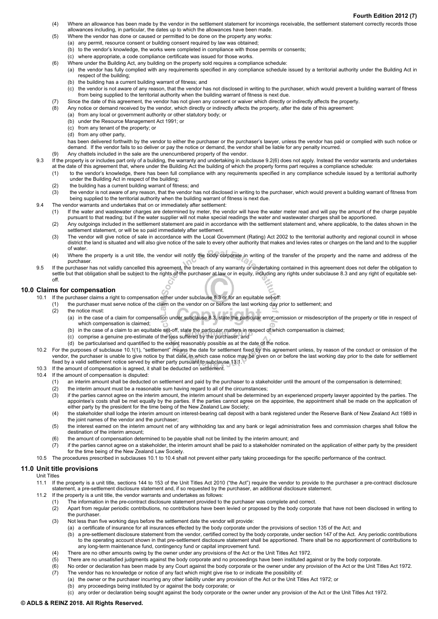- (4) Where an allowance has been made by the vendor in the settlement statement for incomings receivable, the settlement statement correctly records those allowances including, in particular, the dates up to which the allowances have been made.
- (5) Where the vendor has done or caused or permitted to be done on the property any works:
	- (a) any permit, resource consent or building consent required by law was obtained;
	- (b) to the vendor's knowledge, the works were completed in compliance with those permits or consents;
		- (c) where appropriate, a code compliance certificate was issued for those works.
- (6) Where under the Building Act, any building on the property sold requires a compliance schedule:
	- (a) the vendor has fully complied with any requirements specified in any compliance schedule issued by a territorial authority under the Building Act in respect of the building;
		- (b) the building has a current building warrant of fitness; and
	- (c) the vendor is not aware of any reason, that the vendor has not disclosed in writing to the purchaser, which would prevent a building warrant of fitness from being supplied to the territorial authority when the building warrant of fitness is next due.
- (7) Since the date of this agreement, the vendor has not given any consent or waiver which directly or indirectly affects the property. (8) Any notice or demand received by the vendor, which directly or indirectly affects the property, after the date of this agreement:
	- (a) from any local or government authority or other statutory body; or
	- (b) under the Resource Management Act 1991; or
	- (c) from any tenant of the property; or
	- (d) from any other party,

has been delivered forthwith by the vendor to either the purchaser or the purchaser's lawyer, unless the vendor has paid or complied with such notice or demand. If the vendor fails to so deliver or pay the notice or demand, the vendor shall be liable for any penalty incurred.

- (9) Any chattels included in the sale are the unencumbered property of the vendor.
- 9.3 If the property is or includes part only of a building, the warranty and undertaking in subclause 9.2(6) does not apply. Instead the vendor warrants and undertakes at the date of this agreement that, where under the Building Act the building of which the property forms part requires a compliance schedule:
	- (1) to the vendor's knowledge, there has been full compliance with any requirements specified in any compliance schedule issued by a territorial authority under the Building Act in respect of the building;
		-
	- (2) the building has a current building warrant of fitness; and<br>(3) the vendor is not aware of any reason, that the vendor has the vendor is not aware of any reason, that the vendor has not disclosed in writing to the purchaser, which would prevent a building warrant of fitness from being supplied to the territorial authority when the building warrant of fitness is next due.
- 9.4 The vendor warrants and undertakes that on or immediately after settlement:
	- (1) If the water and wastewater charges are determined by meter, the vendor will have the water meter read and will pay the amount of the charge payable pursuant to that reading; but if the water supplier will not make special readings the water and wastewater charges shall be apportioned.
	- (2) Any outgoings included in the settlement statement are paid in accordance with the settlement statement and, where applicable, to the dates shown in the settlement statement, or will be so paid immediately after settlement.
	- (3) The vendor will give notice of sale in accordance with the Local Government (Rating) Act 2002 to the territorial authority and regional council in whose district the land is situated and will also give notice of the sale to every other authority that makes and levies rates or charges on the land and to the supplier of water.
	- (4) Where the property is a unit title, the vendor will notify the body corporate in writing of the transfer of the property and the name and address of the purchaser.
- 9.5 If the purchaser has not validly cancelled this agreement, the breach of any warranty or undertaking contained in this agreement does not defer the obligation to settle but that obligation shall be subject to the rights of the purchaser at law or in equity, including any rights under subclause 8.3 and any right of equitable setoff.

## **10.0 Claims for compensation**

- Ċ 10.1 If the purchaser claims a right to compensation either under subclause 8.3 or for an equitable set-off:
	- (1) the purchaser must serve notice of the claim on the vendor on or before the last working day prior to settlement; and
	- (2) the notice must:
		- (a) in the case of a claim for compensation under subclause 8.3, state the particular error, omission or misdescription of the property or title in respect of which compensation is claimed;
		- (b) in the case of a claim to an equitable set-off, state the particular matters in respect of which compensation is claimed;
		- (c) comprise a genuine pre-estimate of the loss suffered by the purchaser; and
		- (d) be particularised and quantified to the extent reasonably possible as at the date of the notice.
- 10.2 For the purposes of subclause 10.1(1), "settlement" means the date for settlement fixed by this agreement unless, by reason of the conduct or omission of the vendor, the purchaser is unable to give notice by that date, in which case notice may be given on or before the last working day prior to the date for settlement
- fixed by a valid settlement notice served by either party pursuant to subclause 13.1.
- 10.3 If the amount of compensation is agreed, it shall be deducted on settlement.
- 10.4 If the amount of compensation is disputed:
	- (1) an interim amount shall be deducted on settlement and paid by the purchaser to a stakeholder until the amount of the compensation is determined;
	- (2) the interim amount must be a reasonable sum having regard to all of the circumstances;
	- (3) if the parties cannot agree on the interim amount, the interim amount shall be determined by an experienced property lawyer appointed by the parties. The appointee's costs shall be met equally by the parties. If the parties cannot agree on the appointee, the appointment shall be made on the application of either party by the president for the time being of the New Zealand Law Society;
	- (4) the stakeholder shall lodge the interim amount on interest-bearing call deposit with a bank registered under the Reserve Bank of New Zealand Act 1989 in the joint names of the vendor and the purchaser;
	- (5) the interest earned on the interim amount net of any withholding tax and any bank or legal administration fees and commission charges shall follow the destination of the interim amount;
	- (6) the amount of compensation determined to be payable shall not be limited by the interim amount; and
	- (7) if the parties cannot agree on a stakeholder, the interim amount shall be paid to a stakeholder nominated on the application of either party by the president for the time being of the New Zealand Law Society.
- 10.5 The procedures prescribed in subclauses 10.1 to 10.4 shall not prevent either party taking proceedings for the specific performance of the contract.

#### **11.0 Unit title provisions**

Unit Titles

- 11.1 If the property is a unit title, sections 144 to 153 of the Unit Titles Act 2010 ("the Act") require the vendor to provide to the purchaser a pre-contract disclosure statement, a pre-settlement disclosure statement and, if so requested by the purchaser, an additional disclosure statement.
- 11.2 If the property is a unit title, the vendor warrants and undertakes as follows:
	- (1) The information in the pre-contract disclosure statement provided to the purchaser was complete and correct.
	- (2) Apart from regular periodic contributions, no contributions have been levied or proposed by the body corporate that have not been disclosed in writing to the purchaser.
	- (3) Not less than five working days before the settlement date the vendor will provide:
		- (a) a certificate of insurance for all insurances effected by the body corporate under the provisions of section 135 of the Act; and
		- (b) a pre-settlement disclosure statement from the vendor, certified correct by the body corporate, under section 147 of the Act. Any periodic contributions to the operating account shown in that pre-settlement disclosure statement shall be apportioned. There shall be no apportionment of contributions to any long-term maintenance fund, contingency fund or capital improvement fund.
	- (4) There are no other amounts owing by the owner under any provisions of the Act or the Unit Titles Act 1972.
	- There are no unsatisfied judgments against the body corporate and no proceedings have been instituted against or by the body corporate.
	- (6) No order or declaration has been made by any Court against the body corporate or the owner under any provision of the Act or the Unit Titles Act 1972.
	- (7) The vendor has no knowledge or notice of any fact which might give rise to or indicate the possibility of:
		- (a) the owner or the purchaser incurring any other liability under any provision of the Act or the Unit Titles Act 1972; or
		- (b) any proceedings being instituted by or against the body corporate; or
		- (c) any order or declaration being sought against the body corporate or the owner under any provision of the Act or the Unit Titles Act 1972.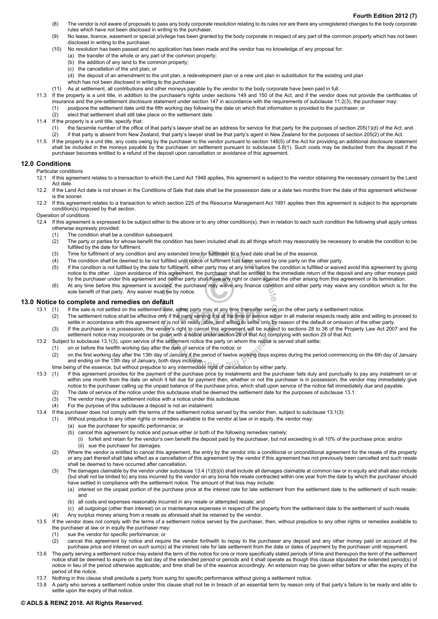- (8) The vendor is not aware of proposals to pass any body corporate resolution relating to its rules nor are there any unregistered changes to the body corporate rules which have not been disclosed in writing to the purchaser.
- (9) No lease, licence, easement or special privilege has been granted by the body corporate in respect of any part of the common property which has not been disclosed in writing to the purchaser.
- (10) No resolution has been passed and no application has been made and the vendor has no knowledge of any proposal for:
	- (a) the transfer of the whole or any part of the common property;
		- (b) the addition of any land to the common property;
		- (c) the cancellation of the unit plan; or
	- (d) the deposit of an amendment to the unit plan, a redevelopment plan or a new unit plan in substitution for the existing unit plan
	- which has not been disclosed in writing to the purchaser.
- (11) As at settlement, all contributions and other moneys payable by the vendor to the body corporate have been paid in full.
- 11.3 If the property is a unit title, in addition to the purchaser's rights under sections 149 and 150 of the Act, and if the vendor does not provide the certificates of insurance and the pre-settlement disclosure statement under section 147 in accordance with the requirements of subclause 11.2(3), the purchaser may:
	- (1) postpone the settlement date until the fifth working day following the date on which that information is provided to the purchaser; or
	- (2) elect that settlement shall still take place on the settlement date.
- 11.4 If the property is a unit title, specify that:
	- (1) the facsimile number of the office of that party's lawyer shall be an address for service for that party for the purposes of section 205(1)(d) of the Act; and
	- (2) if that party is absent from New Zealand, that party's lawyer shall be that party's agent in New Zealand for the purposes of section 205(2) of the Act.
- 11.5 If the property is a unit title, any costs owing by the purchaser to the vendor pursuant to section 148(5) of the Act for providing an additional disclosure statement shall be included in the moneys payable by the purchaser on settlement pursuant to subclause 5.8(1). Such costs may be deducted from the deposit if the purchaser becomes entitled to a refund of the deposit upon cancellation or avoidance of this agreement.

#### **12.0 Conditions**

Particular conditions

- 12.1 If this agreement relates to a transaction to which the Land Act 1948 applies, this agreement is subject to the vendor obtaining the necessary consent by the Land Act date.
- 12.2 If the Land Act date is not shown in the Conditions of Sale that date shall be the possession date or a date two months from the date of this agreement whichever is the sooner.
- 12.3 If this agreement relates to a transaction to which section 225 of the Resource Management Act 1991 applies then this agreement is subject to the appropriate condition(s) imposed by that section.
- Operation of conditions
- 12.4 If this agreement is expressed to be subject either to the above or to any other condition(s), then in relation to each such condition the following shall apply unless otherwise expressly provided:
	- (1) The condition shall be a condition subsequent.
	- (2) The party or parties for whose benefit the condition has been included shall do all things which may reasonably be necessary to enable the condition to be fulfilled by the date for fulfilment.
	- (3) Time for fulfilment of any condition and any extended time for fulfilment to a fixed date shall be of the essence.
	- (4) The condition shall be deemed to be not fulfilled until notice of fulfilment has been served by one party on the other party.
	- (5) If the condition is not fulfilled by the date for fulfilment, either party may at any time before the condition is fulfilled or waived avoid this agreement by giving notice to the other. Upon avoidance of this agreement, the purchaser shall be entitled to the immediate return of the deposit and any other moneys paid by the purchaser under this agreement and neither party shall have any right or claim against the other arising from this agreement or its termination.
	- (6) At any time before this agreement is avoided, the purchaser may waive any finance condition and either party may waive any condition which is for the sole benefit of that party. Any waiver must be by notice.

.<br>م

#### **13.0 Notice to complete and remedies on default**

- 13.1 (1) If the sale is not settled on the settlement date, either party may at any time thereafter serve on the other party a settlement notice.
	- (2) The settlement notice shall be effective only if the party serving it is at the time of service either in all material respects ready able and willing to proceed to settle in accordance with this agreement or is not so ready, able, and willing to settle only by reason of the default or omission of the other party.
	- (3) If the purchaser is in possession, the vendor's right to cancel this agreement will be subject to sections 28 to 36 of the Property Law Act 2007 and the settlement notice may incorporate or be given with a notice under section 28 of that Act complying with section 29 of that Act.
- 13.2 Subject to subclause 13.1(3), upon service of the settlement notice the party on whom the notice is served shall settle:
	- (1) on or before the twelfth working day after the date of service of the notice; or
	- (2) on the first working day after the 13th day of January if the period of twelve working days expires during the period commencing on the 6th day of January and ending on the 13th day of January, both days inclusive,
	-
- time being of the essence, but without prejudice to any intermediate right of cancellation by either party.<br>13.3 (1) If this agreement provides for the payment of the purchase price by instalments and the purcha If this agreement provides for the payment of the purchase price by instalments and the purchaser fails duly and punctually to pay any instalment on or within one month from the date on which it fell due for payment then, whether or not the purchaser is in possession, the vendor may immediately give notice to the purchaser calling up the unpaid balance of the purchase price, which shall upon service of the notice fall immediately due and payable.
	- (2) The date of service of the notice under this subclause shall be deemed the settlement date for the purposes of subclause 13.1.
	- (3) The vendor may give a settlement notice with a notice under this subclause.
	- (4) For the purpose of this subclause a deposit is not an instalment.
- 13.4 If the purchaser does not comply with the terms of the settlement notice served by the vendor then, subject to subclause 13.1(3):
	- (1) Without prejudice to any other rights or remedies available to the vendor at law or in equity, the vendor may:
		- (a) sue the purchaser for specific performance; or
		- (b) cancel this agreement by notice and pursue either or both of the following remedies namely:
			- (i) forfeit and retain for the vendor's own benefit the deposit paid by the purchaser, but not exceeding in all 10% of the purchase price; and/or (ii) sue the purchaser for damages.
	- (2) Where the vendor is entitled to cancel this agreement, the entry by the vendor into a conditional or unconditional agreement for the resale of the property or any part thereof shall take effect as a cancellation of this agreement by the vendor if this agreement has not previously been cancelled and such resale shall be deemed to have occurred after cancellation.

(3) The damages claimable by the vendor under subclause 13.4 (1)(b)(ii) shall include all damages claimable at common law or in equity and shall also include (but shall not be limited to) any loss incurred by the vendor on any bona fide resale contracted within one year from the date by which the purchaser should have settled in compliance with the settlement notice. The amount of that loss may include:

- (a) interest on the unpaid portion of the purchase price at the interest rate for late settlement from the settlement date to the settlement of such resale; and
	- (b) all costs and expenses reasonably incurred in any resale or attempted resale; and
- (c) all outgoings (other than interest) on or maintenance expenses in respect of the property from the settlement date to the settlement of such resale.
- (4) Any surplus money arising from a resale as aforesaid shall be retained by the vendor.
- 13.5 If the vendor does not comply with the terms of a settlement notice served by the purchaser, then, without prejudice to any other rights or remedies available to the purchaser at law or in equity the purchaser may:
	- (1) sue the vendor for specific performance; or
	- (2) cancel this agreement by notice and require the vendor forthwith to repay to the purchaser any deposit and any other money paid on account of the purchase price and interest on such sum(s) at the interest rate for late settlement from the date or dates of payment by the purchaser until repayment.
- 13.6 The party serving a settlement notice may extend the term of the notice for one or more specifically stated periods of time and thereupon the term of the settlement notice shall be deemed to expire on the last day of the extended period or periods and it shall operate as though this clause stipulated the extended period(s) of notice in lieu of the period otherwise applicable; and time shall be of the essence accordingly. An extension may be given either before or after the expiry of the period of the notice.
- 13.7 Nothing in this clause shall preclude a party from suing for specific performance without giving a settlement notice.
- 13.8 A party who serves a settlement notice under this clause shall not be in breach of an essential term by reason only of that party's failure to be ready and able to settle upon the expiry of that notice.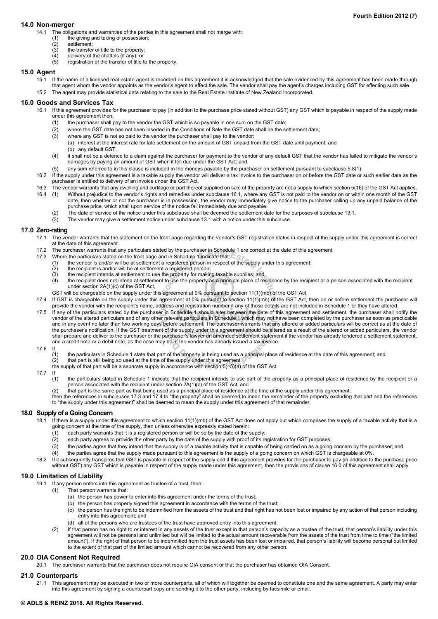#### **14.0 Non-merger**

- 14.1 The obligations and warranties of the parties in this agreement shall not merge with:
	- (1) the giving and taking of possession;
	- (2) settlement;
	- $(3)$  the transfer of title to the property;
	- $(4)$  delivery of the chattels (if any); or (5) registration of the transfer of title
	- registration of the transfer of title to the property.

#### **15.0 Agent**

15.1 If the name of a licensed real estate agent is recorded on this agreement it is acknowledged that the sale evidenced by this agreement has been made through that agent whom the vendor appoints as the vendor's agent to effect the sale. The vendor shall pay the agent's charges including GST for effecting such sale. 15.2 The agent may provide statistical data relating to the sale to the Real Estate Institute of New Zealand Incorporated.

#### **16.0 Goods and Services Tax**

- 16.1 If this agreement provides for the purchaser to pay (in addition to the purchase price stated without GST) any GST which is payable in respect of the supply made under this agreement then:
	- (1) the purchaser shall pay to the vendor the GST which is so payable in one sum on the GST date;
	- (2) where the GST date has not been inserted in the Conditions of Sale the GST date shall be the settlement date;
	- (3) where any GST is not so paid to the vendor the purchaser shall pay to the vendor:
		- (a) interest at the interest rate for late settlement on the amount of GST unpaid from the GST date until payment; and (b) any default GST.
	- (4) it shall not be a defence to a claim against the purchaser for payment to the vendor of any default GST that the vendor has failed to mitigate the vendor's damages by paying an amount of GST when it fell due under the GST Act; and
	- (5) any sum referred to in this clause is included in the moneys payable by the purchaser on settlement pursuant to subclause 5.8(1).
- 16.2 If the supply under this agreement is a taxable supply the vendor will deliver a tax invoice to the purchaser on or before the GST date or such earlier date as the purchaser is entitled to delivery of an invoice under the GST Act.
- 16.3 The vendor warrants that any dwelling and curtilage or part thereof supplied on sale of the property are not a supply to which section 5(16) of the GST Act applies.
- 16.4 (1) Without prejudice to the vendor's rights and remedies under subclause 16.1, where any GST is not paid to the vendor on or within one month of the GST date, then whether or not the purchaser is in possession, the vendor may immediately give notice to the purchaser calling up any unpaid balance of the purchase price, which shall upon service of the notice fall immediately due and payable.
	- (2) The date of service of the notice under this subclause shall be deemed the settlement date for the purposes of subclause 13.1.
	- (3) The vendor may give a settlement notice under subclause 13.1 with a notice under this subclause.

#### **17.0 Zero-rating**

- 17.1 The vendor warrants that the statement on the front page regarding the vendor's GST registration status in respect of the supply under this agreement is correct at the date of this agreement.
- 17.2 The purchaser warrants that any particulars stated by the purchaser in Schedule 1 are correct at the date of this agreement.
- 17.3 Where the particulars stated on the front page and in Schedule 1 indicate that:
	- (1) the vendor is and/or will be at settlement a registered person in respect of the supply under this agreement;
	- (2) the recipient is and/or will be at settlement a registered person;<br>(3) the recipient intends at settlement to use the property for making
	- $(3)$  the recipient intends at settlement to use the property for making taxable supplies; and  $(4)$  the recipient does not intend at settlement to use the property as a principal place of re
	- the recipient does not intend at settlement to use the property as a principal place of residence by the recipient or a person associated with the recipient under section 2A(1)(c) of the GST Act,
	- GST will be chargeable on the supply under this agreement at 0% pursuant to section 11(1)(mb) of the GST Act.
- 17.4 If GST is chargeable on the supply under this agreement at 0% pursuant to section 11(1)(mb) of the GST Act, then on or before settlement the purchaser will provide the vendor with the recipient's name, address and registration number if any of those details are not included in Schedule 1 or they have altered.
- 17.5 If any of the particulars stated by the purchaser in Schedule 1 should alter between the date of this agreement and settlement, the purchaser shall notify the vendor of the altered particulars and of any other relevant particulars in Schedule 1 which may not have been completed by the purchaser as soon as practicable and in any event no later than two working days before settlement. The purchaser warrants that any altered or added particulars will be correct as at the date of the purchaser's notification. If the GST treatment of the supply under this agreement should be altered as a result of the altered or added particulars, the vendor shall prepare and deliver to the purchaser or the purchaser's lawyer an amended settlement statement if the vendor has already tendered a settlement statement, and a credit note or a debit note, as the case may be, if the vendor has already issued a tax invoice.
- 17.6 If
	- the particulars in Schedule 1 state that part of the property is being used as a principal place of residence at the date of this agreement; and
	- (2) that part is still being so used at the time of the supply under this agreement,
	- the supply of that part will be a separate supply in accordance with section 5(15)(a) of the GST Act.
- 17.7 If
	- (1) the particulars stated in Schedule 1 indicate that the recipient intends to use part of the property as a principal place of residence by the recipient or a person associated with the recipient under section 2A(1)(c) of the GST Act; and
	- (2) that part is the same part as that being used as a principal place of residence at the time of the supply under this agreement,
	- then the references in subclauses 17.3 and 17.4 to "the property" shall be deemed to mean the remainder of the property excluding that part and the references to "the supply under this agreement" shall be deemed to mean the supply under this agreement of that remainder.

#### **18.0 Supply of a Going Concern**

- 18.1 If there is a supply under this agreement to which section 11(1)(mb) of the GST Act does not apply but which comprises the supply of a taxable activity that is a going concern at the time of the supply, then unless otherwise expressly stated herein:
	- (1) each party warrants that it is a registered person or will be so by the date of the supply;
	- (2) each party agrees to provide the other party by the date of the supply with proof of its registration for GST purposes;
	- (3) the parties agree that they intend that the supply is of a taxable activity that is capable of being carried on as a going concern by the purchaser; and
	- (4) the parties agree that the supply made pursuant to this agreement is the supply of a going concern on which GST is chargeable at 0%.
- 18.2 If it subsequently transpires that GST is payable in respect of the supply and if this agreement provides for the purchaser to pay (in addition to the purchase price without GST) any GST which is payable in respect of the supply made under this agreement, then the provisions of clause 16.0 of this agreement shall apply.

#### **19.0 Limitation of Liability**

- 19.1 If any person enters into this agreement as trustee of a trust, then:
	- (1) That person warrants that:
		- (a) the person has power to enter into this agreement under the terms of the trust;
		- (b) the person has properly signed this agreement in accordance with the terms of the trust;
		- (c) the person has the right to be indemnified from the assets of the trust and that right has not been lost or impaired by any action of that person including entry into this agreement; and
		- (d) all of the persons who are trustees of the trust have approved entry into this agreement.
	- (2) If that person has no right to or interest in any assets of the trust except in that person's capacity as a trustee of the trust, that person's liability under this agreement will not be personal and unlimited but will be limited to the actual amount recoverable from the assets of the trust from time to time ("the limited amount"). If the right of that person to be indemnified from the trust assets has been lost or impaired, that person's liability will become personal but limited to the extent of that part of the limited amount which cannot be recovered from any other person.

#### **20.0 OIA Consent Not Required**

20.1 The purchaser warrants that the purchaser does not require OIA consent or that the purchaser has obtained OIA Consent.

#### **21.0 Counterparts**

21.1 This agreement may be executed in two or more counterparts, all of which will together be deemed to constitute one and the same agreement. A party may enter into this agreement by signing a counterpart copy and sending it to the other party, including by facsimile or email.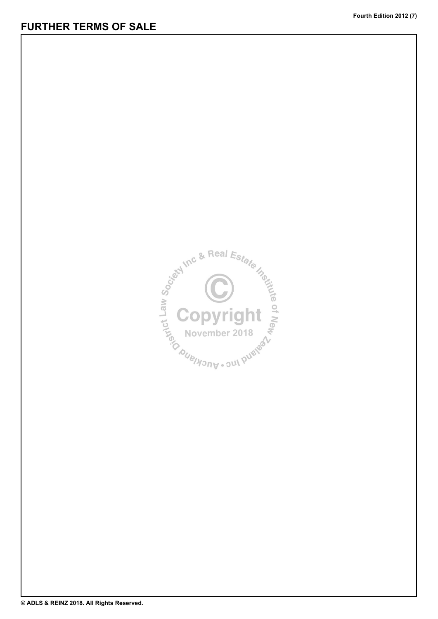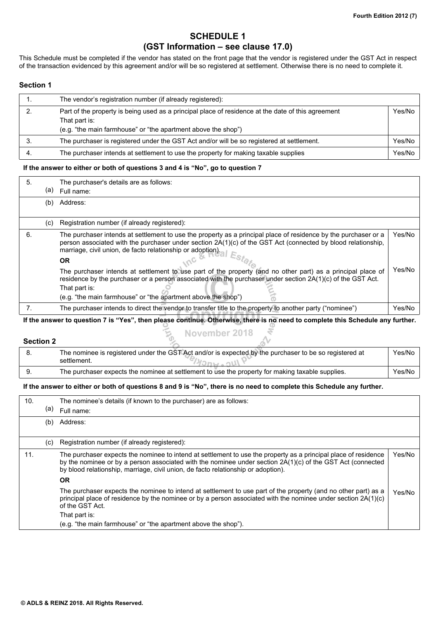# **SCHEDULE 1 (GST Information – see clause 17.0)**

This Schedule must be completed if the vendor has stated on the front page that the vendor is registered under the GST Act in respect of the transaction evidenced by this agreement and/or will be so registered at settlement. Otherwise there is no need to complete it.

## **Section 1**

| The vendor's registration number (if already registered):                                                                                                                            |        |
|--------------------------------------------------------------------------------------------------------------------------------------------------------------------------------------|--------|
| Part of the property is being used as a principal place of residence at the date of this agreement<br>That part is:<br>(e.g. "the main farmhouse" or "the apartment above the shop") | Yes/No |
| The purchaser is registered under the GST Act and/or will be so registered at settlement.                                                                                            | Yes/No |
| The purchaser intends at settlement to use the property for making taxable supplies                                                                                                  | Yes/No |

## **If the answer to either or both of questions 3 and 4 is "No", go to question 7**

| 5. | (a) | The purchaser's details are as follows:<br>Full name:                                                                                                                                                                                                                                                        |        |
|----|-----|--------------------------------------------------------------------------------------------------------------------------------------------------------------------------------------------------------------------------------------------------------------------------------------------------------------|--------|
|    | (b) | Address:                                                                                                                                                                                                                                                                                                     |        |
|    | (C) | Registration number (if already registered):                                                                                                                                                                                                                                                                 |        |
| 6. |     | The purchaser intends at settlement to use the property as a principal place of residence by the purchaser or a<br>person associated with the purchaser under section 2A(1)(c) of the GST Act (connected by blood relationship,<br>marriage, civil union, de facto relationship or adoption).<br><b>OR</b>   | Yes/No |
|    |     | The purchaser intends at settlement to use part of the property (and no other part) as a principal place of<br>residence by the purchaser or a person associated with the purchaser under section 2A(1)(c) of the GST Act.<br>That part is:<br>(e.g. "the main farmhouse" or "the apartment above the shop") | Yes/No |
|    |     | The purchaser intends to direct the vendor to transfer title to the property to another party ("nominee")                                                                                                                                                                                                    | Yes/No |

**If the answer to question 7 is "Yes", then please continue. Otherwise, there is no need to complete this Schedule any further.** November 2018

Ę

## **Section 2**

| The nominee is registered under the GST Act and/or is expected by the purchaser to be so registered at<br>settlement. | Yes/No |
|-----------------------------------------------------------------------------------------------------------------------|--------|
| The purchaser expects the nominee at settlement to use the property for making taxable supplies.                      | Yes/No |

## **If the answer to either or both of questions 8 and 9 is "No", there is no need to complete this Schedule any further.**

|     | The nominee's details (if known to the purchaser) are as follows:                                                                                                                                                                                                                                                  |        |
|-----|--------------------------------------------------------------------------------------------------------------------------------------------------------------------------------------------------------------------------------------------------------------------------------------------------------------------|--------|
| (a) | Full name:                                                                                                                                                                                                                                                                                                         |        |
| (b) | Address:                                                                                                                                                                                                                                                                                                           |        |
|     |                                                                                                                                                                                                                                                                                                                    |        |
| (c) | Registration number (if already registered):                                                                                                                                                                                                                                                                       |        |
|     | The purchaser expects the nominee to intend at settlement to use the property as a principal place of residence<br>by the nominee or by a person associated with the nominee under section 2A(1)(c) of the GST Act (connected<br>by blood relationship, marriage, civil union, de facto relationship or adoption). | Yes/No |
|     | <b>OR</b>                                                                                                                                                                                                                                                                                                          |        |
|     | The purchaser expects the nominee to intend at settlement to use part of the property (and no other part) as a<br>principal place of residence by the nominee or by a person associated with the nominee under section 2A(1)(c)<br>of the GST Act.                                                                 | Yes/No |
|     | That part is:                                                                                                                                                                                                                                                                                                      |        |
|     | (e.g. "the main farmhouse" or "the apartment above the shop").                                                                                                                                                                                                                                                     |        |
|     |                                                                                                                                                                                                                                                                                                                    |        |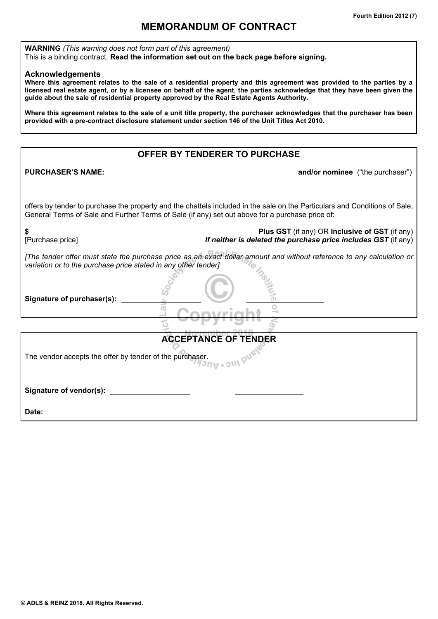# **MEMORANDUM OF CONTRACT**

**WARNING** *(This warning does not form part of this agreement)* This is a binding contract. **Read the information set out on the back page before signing.**

## **Acknowledgements**

**Where this agreement relates to the sale of a residential property and this agreement was provided to the parties by a licensed real estate agent, or by a licensee on behalf of the agent, the parties acknowledge that they have been given the guide about the sale of residential property approved by the Real Estate Agents Authority.**

**Where this agreement relates to the sale of a unit title property, the purchaser acknowledges that the purchaser has been provided with a pre-contract disclosure statement under section 146 of the Unit Titles Act 2010.**

## **OFFER BY TENDERER TO PURCHASE**

**PURCHASER'S NAME: PURCHASER'S NAME: and/or nominee** ("the purchaser")

offers by tender to purchase the property and the chattels included in the sale on the Particulars and Conditions of Sale, General Terms of Sale and Further Terms of Sale (if any) set out above for a purchase price of:

| [Purchase price]                                               | Plus GST (if any) OR Inclusive of GST (if any)<br>If neither is deleted the purchase price includes GST (if any)      |
|----------------------------------------------------------------|-----------------------------------------------------------------------------------------------------------------------|
| variation or to the purchase price stated in any other tender] | [The tender offer must state the purchase price as an exact dollar amount and without reference to any calculation or |
| Signature of purchaser(s):                                     |                                                                                                                       |

| <b>ACCEPTANCE OF TENDER</b>                                                                   |
|-----------------------------------------------------------------------------------------------|
| The vendor accepts the offer by tender of the purchaser.<br>$\sqrt{2n}$ $\sqrt{2}$ $\sqrt{2}$ |
| Signature of vendor(s):                                                                       |
| Date:                                                                                         |